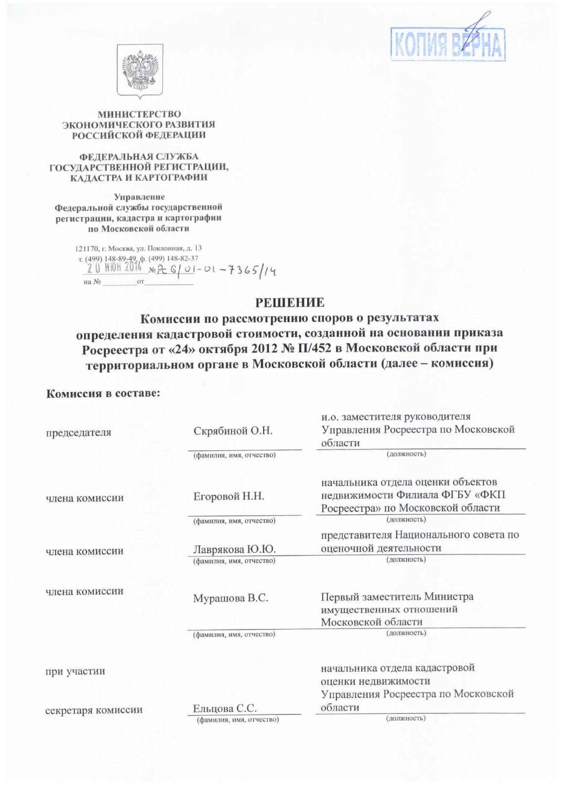



## МИНИСТЕРСТВО ЭКОНОМИЧЕСКОГО РАЗВИТИЯ **РОССИЙСКОЙ ФЕДЕРАЦИИ**

### ФЕДЕРАЛЬНАЯ СЛУЖБА ГОСУДАРСТВЕННОЙ РЕГИСТРАЦИИ, КАДАСТРА И КАРТОГРАФИИ

Управление Федеральной службы государственной регистрации, кадастра и картографии по Московской области

> 121170, г. Москва, ул. Поклонная, д. 13 121170, r. MOCKBa, y.a. 1100.<br>
> T. (499) 148-89-49, p. (499) 148-82-37<br>
> 2 0 Mi0H 2014 <sub>No</sub> P<sub>C</sub> G | *O* | - O l - 7 3 G 5 | / 4 на  $N_2$  $\alpha r$

## **PEIHEHIAE**

Комиссии по рассмотрению споров о результатах определения кадастровой стоимости, созданной на основании приказа Росреестра от «24» октября 2012 № П/452 в Московской области при территориальном органе в Московской области (далее - комиссия)

## Комиссия в составе:

|                          | начальника отдела кадастровой<br>оценки недвижимости<br>Управления Росреестра по Московской |  |
|--------------------------|---------------------------------------------------------------------------------------------|--|
|                          |                                                                                             |  |
|                          |                                                                                             |  |
|                          |                                                                                             |  |
|                          |                                                                                             |  |
| (фамилия, имя, отчество) | (должность)                                                                                 |  |
|                          | Московской области                                                                          |  |
| Мурашова В.С.            | Первый заместитель Министра<br>имущественных отношений                                      |  |
|                          | (должность)                                                                                 |  |
| Лаврякова Ю.Ю.           | оценочной деятельности                                                                      |  |
|                          | представителя Национального совета по                                                       |  |
| (фамилия, имя, отчество) | (должность)                                                                                 |  |
|                          | Росреестра» по Московской области                                                           |  |
| Егоровой Н.Н.            | начальника отдела оценки объектов<br>недвижимости Филиала ФГБУ «ФКП                         |  |
| (фамилия, имя, отчество) | (должность)                                                                                 |  |
|                          | области                                                                                     |  |
|                          | и.о. заместителя руководителя<br>Управления Росреестра по Московской                        |  |
|                          | Скрябиной О.Н.<br>(фамилия, имя, отчество)                                                  |  |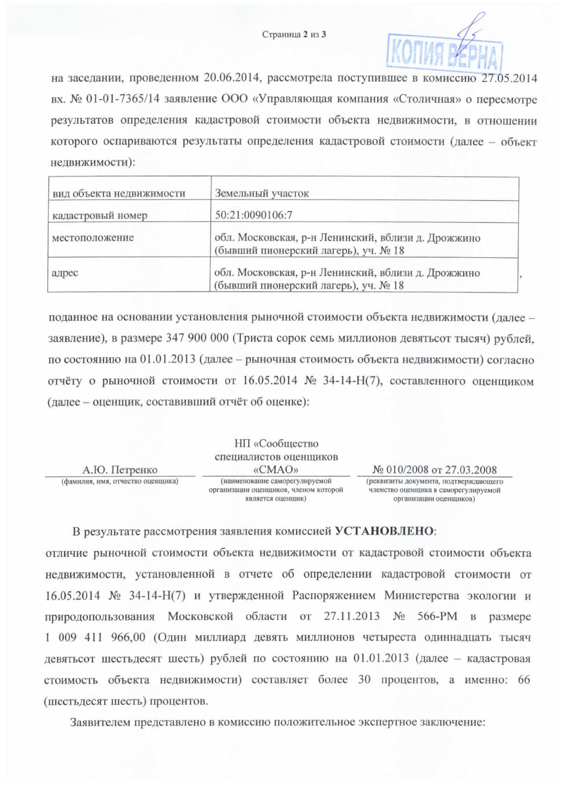

на заседании, проведенном 20.06.2014, рассмотрела поступившее в комиссию 27.05.2014 вх. № 01-01-7365/14 заявление ООО «Управляющая компания «Столичная» о пересмотре результатов определения кадастровой стоимости объекта недвижимости, в отношении которого оспариваются результаты определения кадастровой стоимости (далее – объект недвижимости):

| вид объекта недвижимости | Земельный участок                                                                          |  |
|--------------------------|--------------------------------------------------------------------------------------------|--|
| кадастровый номер        | 50:21:0090106:7                                                                            |  |
| местоположение           | обл. Московская, р-н Ленинский, вблизи д. Дрожжино<br>(бывший пионерский лагерь), уч. № 18 |  |
| адрес                    | обл. Московская, р-н Ленинский, вблизи д. Дрожжино<br>(бывший пионерский лагерь), уч. № 18 |  |

поданное на основании установления рыночной стоимости объекта недвижимости (далее заявление), в размере 347 900 000 (Триста сорок семь миллионов девятьсот тысяч) рублей, по состоянию на 01.01.2013 (далее – рыночная стоимость объекта недвижимости) согласно отчёту о рыночной стоимости от 16.05.2014 № 34-14-Н(7), составленного оценщиком (далее - оценщик, составивший отчёт об оценке):

|                                   | НП «Сообщество                                                                               |                                                                                                         |
|-----------------------------------|----------------------------------------------------------------------------------------------|---------------------------------------------------------------------------------------------------------|
|                                   | специалистов оценщиков                                                                       |                                                                                                         |
| А.Ю. Петренко                     | «CMAO»                                                                                       | № 010/2008 от 27.03.2008                                                                                |
| (фамилия, имя, отчество оценщика) | (наименование саморегулируемой<br>организации оценщиков, членом которой<br>является оценшик) | (реквизиты документа, подтверждающего<br>членство оценщика в саморегулируемой<br>организации оценциков) |

В результате рассмотрения заявления комиссией УСТАНОВЛЕНО:

отличие рыночной стоимости объекта недвижимости от кадастровой стоимости объекта недвижимости, установленной в отчете об определении кадастровой стоимости от 16.05.2014 № 34-14-Н(7) и утвержденной Распоряжением Министерства экологии и природопользования Московской области от 27.11.2013 № 566-РМ в размере 1 009 411 966,00 (Один миллиард девять миллионов четыреста одиннадцать тысяч девятьсот шестьдесят шесть) рублей по состоянию на 01.01.2013 (далее - кадастровая стоимость объекта недвижимости) составляет более 30 процентов, а именно: 66 (шестьдесят шесть) процентов.

Заявителем представлено в комиссию положительное экспертное заключение: